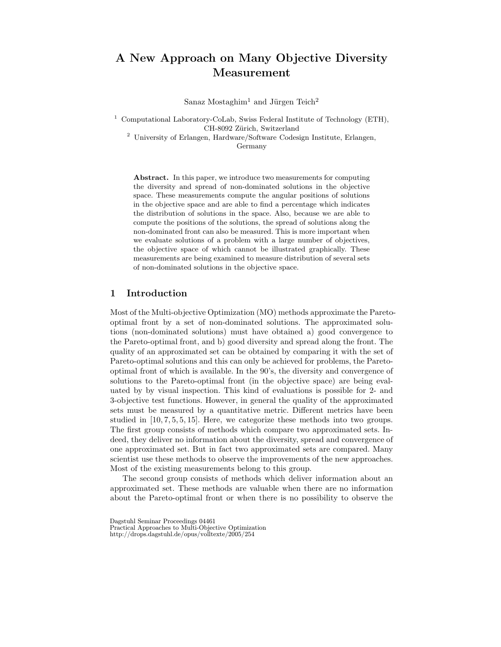# A New Approach on Many Objective Diversity Measurement

Sanaz Mostaghim<sup>1</sup> and Jürgen Teich<sup>2</sup>

<sup>1</sup> Computational Laboratory-CoLab, Swiss Federal Institute of Technology (ETH), CH-8092 Zürich, Switzerland

<sup>2</sup> University of Erlangen, Hardware/Software Codesign Institute, Erlangen,

Germany

Abstract. In this paper, we introduce two measurements for computing the diversity and spread of non-dominated solutions in the objective space. These measurements compute the angular positions of solutions in the objective space and are able to find a percentage which indicates the distribution of solutions in the space. Also, because we are able to compute the positions of the solutions, the spread of solutions along the non-dominated front can also be measured. This is more important when we evaluate solutions of a problem with a large number of objectives, the objective space of which cannot be illustrated graphically. These measurements are being examined to measure distribution of several sets of non-dominated solutions in the objective space.

## 1 Introduction

Most of the Multi-objective Optimization (MO) methods approximate the Paretooptimal front by a set of non-dominated solutions. The approximated solutions (non-dominated solutions) must have obtained a) good convergence to the Pareto-optimal front, and b) good diversity and spread along the front. The quality of an approximated set can be obtained by comparing it with the set of Pareto-optimal solutions and this can only be achieved for problems, the Paretooptimal front of which is available. In the 90's, the diversity and convergence of solutions to the Pareto-optimal front (in the objective space) are being evaluated by by visual inspection. This kind of evaluations is possible for 2- and 3-objective test functions. However, in general the quality of the approximated sets must be measured by a quantitative metric. Different metrics have been studied in  $[10, 7, 5, 5, 15]$ . Here, we categorize these methods into two groups. The first group consists of methods which compare two approximated sets. Indeed, they deliver no information about the diversity, spread and convergence of one approximated set. But in fact two approximated sets are compared. Many scientist use these methods to observe the improvements of the new approaches. Most of the existing measurements belong to this group.

The second group consists of methods which deliver information about an approximated set. These methods are valuable when there are no information about the Pareto-optimal front or when there is no possibility to observe the

Dagstuhl Seminar Proceedings 04461

Practical Approaches to Multi-Objective Optimization

http://drops.dagstuhl.de/opus/volltexte/2005/254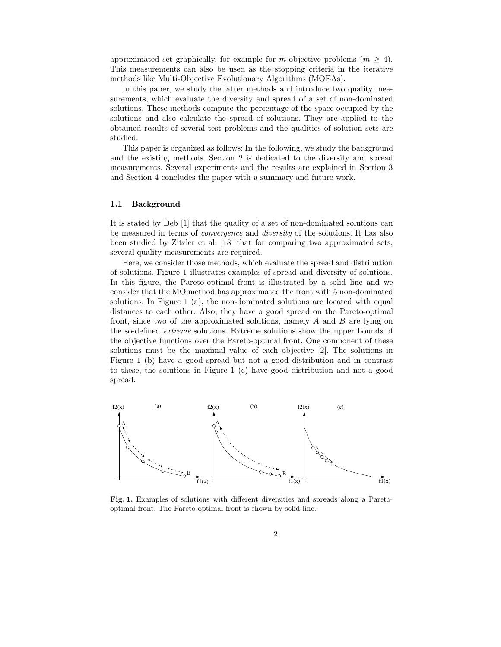approximated set graphically, for example for m-objective problems  $(m \geq 4)$ . This measurements can also be used as the stopping criteria in the iterative methods like Multi-Objective Evolutionary Algorithms (MOEAs).

In this paper, we study the latter methods and introduce two quality measurements, which evaluate the diversity and spread of a set of non-dominated solutions. These methods compute the percentage of the space occupied by the solutions and also calculate the spread of solutions. They are applied to the obtained results of several test problems and the qualities of solution sets are studied.

This paper is organized as follows: In the following, we study the background and the existing methods. Section 2 is dedicated to the diversity and spread measurements. Several experiments and the results are explained in Section 3 and Section 4 concludes the paper with a summary and future work.

#### 1.1 Background

It is stated by Deb [1] that the quality of a set of non-dominated solutions can be measured in terms of convergence and diversity of the solutions. It has also been studied by Zitzler et al. [18] that for comparing two approximated sets, several quality measurements are required.

Here, we consider those methods, which evaluate the spread and distribution of solutions. Figure 1 illustrates examples of spread and diversity of solutions. In this figure, the Pareto-optimal front is illustrated by a solid line and we consider that the MO method has approximated the front with 5 non-dominated solutions. In Figure 1 (a), the non-dominated solutions are located with equal distances to each other. Also, they have a good spread on the Pareto-optimal front, since two of the approximated solutions, namely  $A$  and  $B$  are lying on the so-defined extreme solutions. Extreme solutions show the upper bounds of the objective functions over the Pareto-optimal front. One component of these solutions must be the maximal value of each objective [2]. The solutions in Figure 1 (b) have a good spread but not a good distribution and in contrast to these, the solutions in Figure 1 (c) have good distribution and not a good spread.



Fig. 1. Examples of solutions with different diversities and spreads along a Paretooptimal front. The Pareto-optimal front is shown by solid line.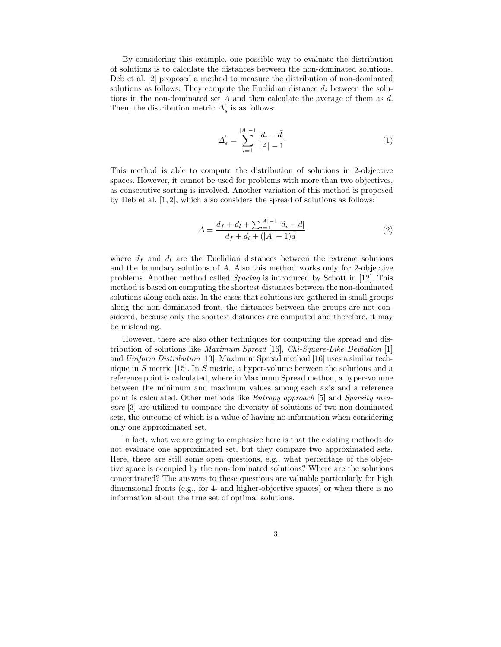By considering this example, one possible way to evaluate the distribution of solutions is to calculate the distances between the non-dominated solutions. Deb et al. [2] proposed a method to measure the distribution of non-dominated solutions as follows: They compute the Euclidian distance  $d_i$  between the solutions in the non-dominated set A and then calculate the average of them as  $\overline{d}$ . Then, the distribution metric  $\Delta'_s$  is as follows:

$$
\Delta_s = \sum_{i=1}^{|A|-1} \frac{|d_i - \bar{d}|}{|A|-1} \tag{1}
$$

This method is able to compute the distribution of solutions in 2-objective spaces. However, it cannot be used for problems with more than two objectives, as consecutive sorting is involved. Another variation of this method is proposed by Deb et al.  $[1, 2]$ , which also considers the spread of solutions as follows:

$$
\Delta = \frac{d_f + d_l + \sum_{i=1}^{|A|-1} |d_i - \bar{d}|}{d_f + d_l + (|A|-1)\bar{d}}
$$
\n(2)

where  $d_f$  and  $d_l$  are the Euclidian distances between the extreme solutions and the boundary solutions of A. Also this method works only for 2-objective problems. Another method called Spacing is introduced by Schott in [12]. This method is based on computing the shortest distances between the non-dominated solutions along each axis. In the cases that solutions are gathered in small groups along the non-dominated front, the distances between the groups are not considered, because only the shortest distances are computed and therefore, it may be misleading.

However, there are also other techniques for computing the spread and distribution of solutions like Maximum Spread [16], Chi-Square-Like Deviation [1] and Uniform Distribution [13]. Maximum Spread method [16] uses a similar technique in S metric [15]. In S metric, a hyper-volume between the solutions and a reference point is calculated, where in Maximum Spread method, a hyper-volume between the minimum and maximum values among each axis and a reference point is calculated. Other methods like Entropy approach [5] and Sparsity measure [3] are utilized to compare the diversity of solutions of two non-dominated sets, the outcome of which is a value of having no information when considering only one approximated set.

In fact, what we are going to emphasize here is that the existing methods do not evaluate one approximated set, but they compare two approximated sets. Here, there are still some open questions, e.g., what percentage of the objective space is occupied by the non-dominated solutions? Where are the solutions concentrated? The answers to these questions are valuable particularly for high dimensional fronts (e.g., for 4- and higher-objective spaces) or when there is no information about the true set of optimal solutions.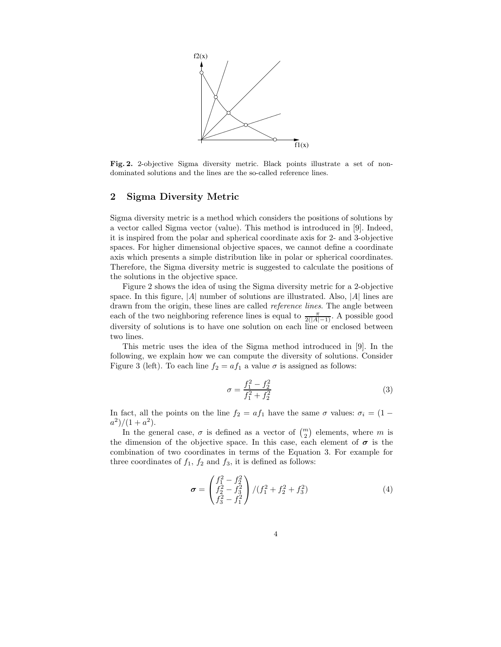

Fig. 2. 2-objective Sigma diversity metric. Black points illustrate a set of nondominated solutions and the lines are the so-called reference lines.

# 2 Sigma Diversity Metric

Sigma diversity metric is a method which considers the positions of solutions by a vector called Sigma vector (value). This method is introduced in [9]. Indeed, it is inspired from the polar and spherical coordinate axis for 2- and 3-objective spaces. For higher dimensional objective spaces, we cannot define a coordinate axis which presents a simple distribution like in polar or spherical coordinates. Therefore, the Sigma diversity metric is suggested to calculate the positions of the solutions in the objective space.

Figure 2 shows the idea of using the Sigma diversity metric for a 2-objective space. In this figure,  $|A|$  number of solutions are illustrated. Also,  $|A|$  lines are drawn from the origin, these lines are called reference lines. The angle between each of the two neighboring reference lines is equal to  $\frac{\pi}{2(|A|-1)}$ . A possible good diversity of solutions is to have one solution on each line or enclosed between two lines.

This metric uses the idea of the Sigma method introduced in [9]. In the following, we explain how we can compute the diversity of solutions. Consider Figure 3 (left). To each line  $f_2 = af_1$  a value  $\sigma$  is assigned as follows:

$$
\sigma = \frac{f_1^2 - f_2^2}{f_1^2 + f_2^2} \tag{3}
$$

In fact, all the points on the line  $f_2 = af_1$  have the same  $\sigma$  values:  $\sigma_i = (1$  $a^2)/(1+a^2)$ .

In the general case,  $\sigma$  is defined as a vector of  $\binom{m}{2}$  elements, where m is the dimension of the objective space. In this case, each element of  $\sigma$  is the combination of two coordinates in terms of the Equation 3. For example for three coordinates of  $f_1$ ,  $f_2$  and  $f_3$ , it is defined as follows:

$$
\boldsymbol{\sigma} = \begin{pmatrix} f_1^2 - f_2^2 \\ f_2^2 - f_3^2 \\ f_3^2 - f_1^2 \end{pmatrix} / (f_1^2 + f_2^2 + f_3^2)
$$
 (4)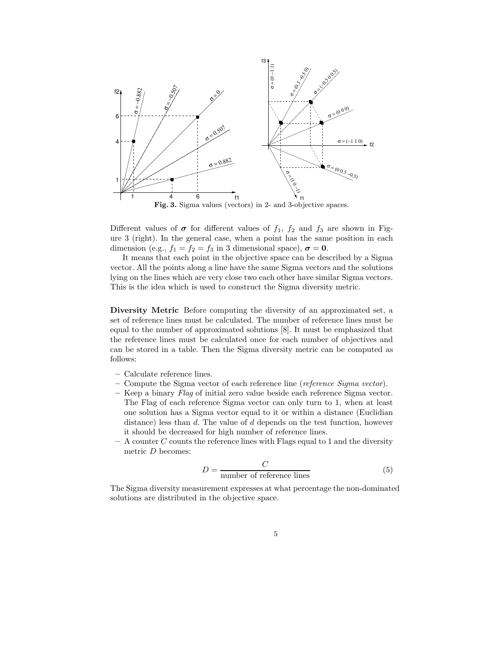

Fig. 3. Sigma values (vectors) in 2- and 3-objective spaces.

Different values of  $\sigma$  for different values of  $f_1$ ,  $f_2$  and  $f_3$  are shown in Figure 3 (right). In the general case, when a point has the same position in each dimension (e.g.,  $f_1 = f_2 = f_3$  in 3 dimensional space),  $\sigma = 0$ .

It means that each point in the objective space can be described by a Sigma vector. All the points along a line have the same Sigma vectors and the solutions lying on the lines which are very close two each other have similar Sigma vectors. This is the idea which is used to construct the Sigma diversity metric.

Diversity Metric Before computing the diversity of an approximated set, a set of reference lines must be calculated. The number of reference lines must be equal to the number of approximated solutions [8]. It must be emphasized that the reference lines must be calculated once for each number of objectives and can be stored in a table. Then the Sigma diversity metric can be computed as follows:

- Calculate reference lines.
- $-$  Compute the Sigma vector of each reference line (*reference Sigma vector*).
- Keep a binary Flag of initial zero value beside each reference Sigma vector. The Flag of each reference Sigma vector can only turn to 1, when at least one solution has a Sigma vector equal to it or within a distance (Euclidian distance) less than d. The value of d depends on the test function, however it should be decreased for high number of reference lines.
- $-$  A counter C counts the reference lines with Flags equal to 1 and the diversity metric D becomes:

$$
D = \frac{C}{\text{number of reference lines}} \tag{5}
$$

The Sigma diversity measurement expresses at what percentage the non-dominated solutions are distributed in the objective space.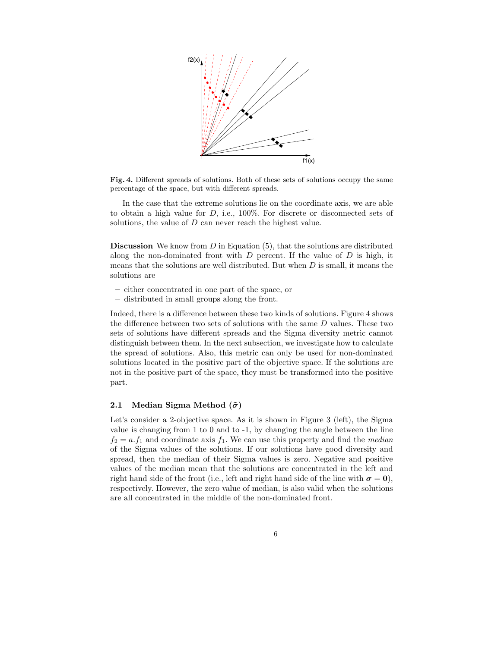

Fig. 4. Different spreads of solutions. Both of these sets of solutions occupy the same percentage of the space, but with different spreads.

In the case that the extreme solutions lie on the coordinate axis, we are able to obtain a high value for  $D$ , i.e., 100%. For discrete or disconnected sets of solutions, the value of D can never reach the highest value.

**Discussion** We know from  $D$  in Equation  $(5)$ , that the solutions are distributed along the non-dominated front with  $D$  percent. If the value of  $D$  is high, it means that the solutions are well distributed. But when  $D$  is small, it means the solutions are

- either concentrated in one part of the space, or
- distributed in small groups along the front.

Indeed, there is a difference between these two kinds of solutions. Figure 4 shows the difference between two sets of solutions with the same  $D$  values. These two sets of solutions have different spreads and the Sigma diversity metric cannot distinguish between them. In the next subsection, we investigate how to calculate the spread of solutions. Also, this metric can only be used for non-dominated solutions located in the positive part of the objective space. If the solutions are not in the positive part of the space, they must be transformed into the positive part.

## 2.1 Median Sigma Method  $(\tilde{\sigma})$

Let's consider a 2-objective space. As it is shown in Figure 3 (left), the Sigma value is changing from 1 to 0 and to -1, by changing the angle between the line  $f_2 = a.f_1$  and coordinate axis  $f_1$ . We can use this property and find the median of the Sigma values of the solutions. If our solutions have good diversity and spread, then the median of their Sigma values is zero. Negative and positive values of the median mean that the solutions are concentrated in the left and right hand side of the front (i.e., left and right hand side of the line with  $\sigma = 0$ ), respectively. However, the zero value of median, is also valid when the solutions are all concentrated in the middle of the non-dominated front.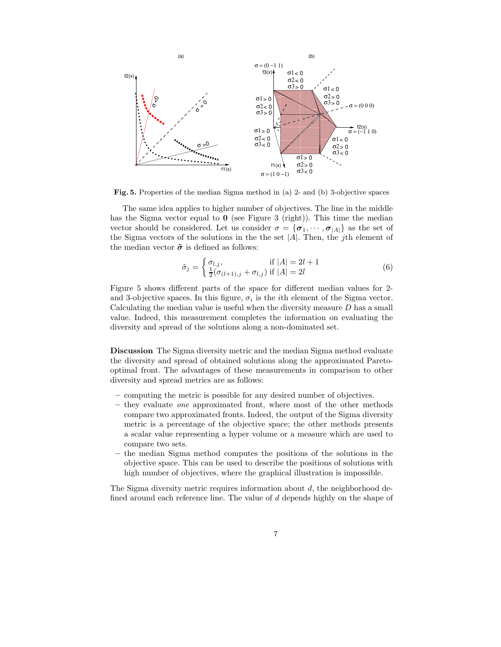

Fig. 5. Properties of the median Sigma method in (a) 2- and (b) 3-objective spaces

The same idea applies to higher number of objectives. The line in the middle has the Sigma vector equal to  $\mathbf 0$  (see Figure 3 (right)). This time the median vector should be considered. Let us consider  $\sigma = {\sigma_1, \cdots, \sigma_{|A|}}$  as the set of the Sigma vectors of the solutions in the the set  $|A|$ . Then, the *j*th element of the median vector  $\tilde{\sigma}$  is defined as follows:

$$
\tilde{\sigma}_j = \begin{cases} \sigma_{l,j}, & \text{if } |A| = 2l + 1 \\ \frac{1}{2}(\sigma_{(l+1),j} + \sigma_{l,j}) & \text{if } |A| = 2l \end{cases}
$$
\n(6)

Figure 5 shows different parts of the space for different median values for 2 and 3-objective spaces. In this figure,  $\sigma_i$  is the *i*<sup>th</sup> element of the Sigma vector. Calculating the median value is useful when the diversity measure D has a small value. Indeed, this measurement completes the information on evaluating the diversity and spread of the solutions along a non-dominated set.

Discussion The Sigma diversity metric and the median Sigma method evaluate the diversity and spread of obtained solutions along the approximated Paretooptimal front. The advantages of these measurements in comparison to other diversity and spread metrics are as follows:

- computing the metric is possible for any desired number of objectives.
- they evaluate one approximated front, where most of the other methods compare two approximated fronts. Indeed, the output of the Sigma diversity metric is a percentage of the objective space; the other methods presents a scalar value representing a hyper volume or a measure which are used to compare two sets.
- the median Sigma method computes the positions of the solutions in the objective space. This can be used to describe the positions of solutions with high number of objectives, where the graphical illustration is impossible.

The Sigma diversity metric requires information about  $d$ , the neighborhood defined around each reference line. The value of d depends highly on the shape of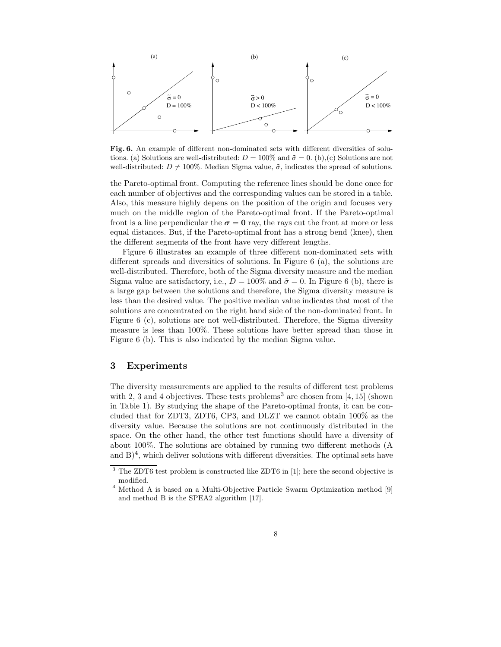

Fig. 6. An example of different non-dominated sets with different diversities of solutions. (a) Solutions are well-distributed:  $D = 100\%$  and  $\tilde{\sigma} = 0$ . (b),(c) Solutions are not well-distributed:  $D \neq 100\%$ . Median Sigma value,  $\tilde{\sigma}$ , indicates the spread of solutions.

the Pareto-optimal front. Computing the reference lines should be done once for each number of objectives and the corresponding values can be stored in a table. Also, this measure highly depens on the position of the origin and focuses very much on the middle region of the Pareto-optimal front. If the Pareto-optimal front is a line perpendicular the  $\sigma = 0$  ray, the rays cut the front at more or less equal distances. But, if the Pareto-optimal front has a strong bend (knee), then the different segments of the front have very different lengths.

Figure 6 illustrates an example of three different non-dominated sets with different spreads and diversities of solutions. In Figure 6 (a), the solutions are well-distributed. Therefore, both of the Sigma diversity measure and the median Sigma value are satisfactory, i.e.,  $D = 100\%$  and  $\tilde{\sigma} = 0$ . In Figure 6 (b), there is a large gap between the solutions and therefore, the Sigma diversity measure is less than the desired value. The positive median value indicates that most of the solutions are concentrated on the right hand side of the non-dominated front. In Figure 6 (c), solutions are not well-distributed. Therefore, the Sigma diversity measure is less than 100%. These solutions have better spread than those in Figure 6 (b). This is also indicated by the median Sigma value.

## 3 Experiments

The diversity measurements are applied to the results of different test problems with 2, 3 and 4 objectives. These tests problems<sup>3</sup> are chosen from [4, 15] (shown in Table 1). By studying the shape of the Pareto-optimal fronts, it can be concluded that for ZDT3, ZDT6, CP3, and DLZT we cannot obtain 100% as the diversity value. Because the solutions are not continuously distributed in the space. On the other hand, the other test functions should have a diversity of about 100%. The solutions are obtained by running two different methods (A and  $B$ <sup>4</sup>, which deliver solutions with different diversities. The optimal sets have

<sup>&</sup>lt;sup>3</sup> The ZDT6 test problem is constructed like ZDT6 in [1]; here the second objective is modified.

 $^4$  Method A is based on a Multi-Objective Particle Swarm Optimization method  $[9]$ and method B is the SPEA2 algorithm [17].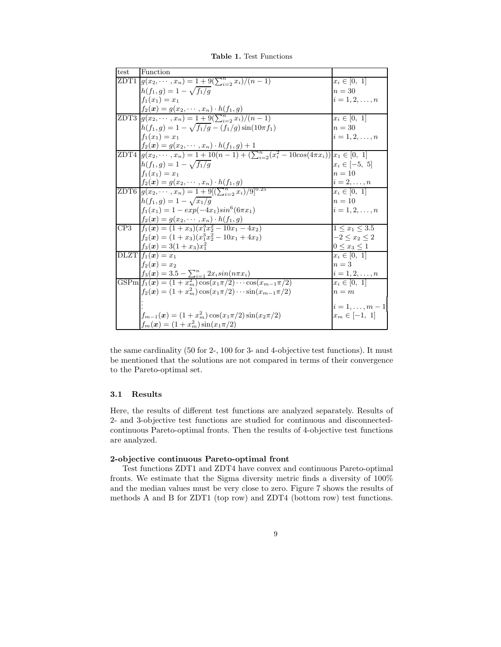Table 1. Test Functions

| test | Function                                                                                                                                                            |                     |
|------|---------------------------------------------------------------------------------------------------------------------------------------------------------------------|---------------------|
|      | ZDT1 $g(x_2, \dots, x_n) = 1 + 9(\sum_{i=2}^n x_i)/(n-1)$                                                                                                           | $x_i \in [0, 1]$    |
|      | $h(f_1,g) = 1 - \sqrt{f_1/g}$                                                                                                                                       | $n=30$              |
|      | $f_1(x_1) = x_1$                                                                                                                                                    | $i=1,2,\ldots,n$    |
|      | $f_2(x) = g(x_2, \dots, x_n) \cdot h(f_1, g)$<br>ZDT3 $g(x_2, \dots, x_n) = 1 + 9(\sum_{i=2}^n x_i)/(n-1)$                                                          |                     |
|      |                                                                                                                                                                     | $x_i \in [0, 1]$    |
|      | $h(f_1, g) = 1 - \sqrt{f_1/g} - (f_1/g)\sin(10\pi f_1)$                                                                                                             | $n=30$              |
|      | $f_1(x_1) = x_1$                                                                                                                                                    | $i = 1, 2, , n$     |
|      | $f_2(x) = g(x_2, \dots, x_n) \cdot h(f_1, g) + 1$<br>ZDT4 $g(x_2, \dots, x_n) = 1 + 10(n - 1) + \left(\sum_{i=2}^n (x_i^2 - 10\cos(4\pi x_i))\right)x_1 \in [0, 1]$ |                     |
|      |                                                                                                                                                                     |                     |
|      | $h(f_1, g) = 1 - \sqrt{f_1/g}$                                                                                                                                      | $x_i \in [-5, 5]$   |
|      | $f_1(x_1) = x_1$                                                                                                                                                    | $n=10$              |
|      | $\frac{f_2(x) = g(x_2, \dots, x_n) \cdot h(f_1, g)}{\text{ZDT6} \cdot g(x_2, \dots, x_n) = 1 + 9[(\sum_{i=2}^n x_i)/9]^{0.25}}$                                     | $i=2,\ldots,n$      |
|      |                                                                                                                                                                     | $x_i \in [0, 1]$    |
|      | $h(f_1,g) = 1 - \sqrt{x_1/g}$                                                                                                                                       | $n=10$              |
|      | $f_1(x_1) = 1 - exp(-4x_1)sin^6(6\pi x_1)$                                                                                                                          | $i = 1, 2, , n$     |
|      | $f_2(x) = g(x_2, \dots, x_n) \cdot h(f_1, g)$                                                                                                                       |                     |
| CP3  | $f_1(x) = (1+x_3)(x_1^3x_2^2 - 10x_1 - 4x_2)$                                                                                                                       | $1 \le x_1 \le 3.5$ |
|      | $f_2(x) = (1+x_3)(x_1^3x_2^2 - 10x_1 + 4x_2)$                                                                                                                       | $-2 < x_2 < 2$      |
|      | $f_3(x) = 3(1+x_3)x_1^2$                                                                                                                                            | $0\leq x_3\leq 1$   |
|      | $\overline{\text{DLZT}} f_1(x) = x_1$                                                                                                                               | $x_i \in [0, 1]$    |
|      | $f_2(x) = x_2$                                                                                                                                                      | $n=3$               |
|      | $f_3(x) = 3.5 - \sum_{i=1}^n 2x_i sin(n\pi x_i)$                                                                                                                    | $i=1,2,\ldots,n$    |
|      | GSPm $f_1(x) = (1 + x_m^2) \cos(x_1 \pi/2) \cdots \cos(x_{m-1} \pi/2)$                                                                                              | $x_i \in [0, 1]$    |
|      | $f_2(\boldsymbol{x}) = (1 + x_m^2) \cos(x_1 \pi/2) \cdots \sin(x_{m-1} \pi/2)$                                                                                      | $n = m$             |
|      |                                                                                                                                                                     | $i=1,\ldots,m-1$    |
|      | $f_{m-1}(\boldsymbol{x}) = (1 + x_m^2) \cos(x_1 \pi/2) \sin(x_2 \pi/2)$                                                                                             | $x_m \in [-1, 1]$   |
|      | $f_m(\bm{x}) = (1 + x_m^2) \sin(x_1 \pi/2)$                                                                                                                         |                     |

the same cardinality (50 for 2-, 100 for 3- and 4-objective test functions). It must be mentioned that the solutions are not compared in terms of their convergence to the Pareto-optimal set.

## 3.1 Results

Here, the results of different test functions are analyzed separately. Results of 2- and 3-objective test functions are studied for continuous and disconnectedcontinuous Pareto-optimal fronts. Then the results of 4-objective test functions are analyzed.

#### 2-objective continuous Pareto-optimal front

Test functions ZDT1 and ZDT4 have convex and continuous Pareto-optimal fronts. We estimate that the Sigma diversity metric finds a diversity of 100% and the median values must be very close to zero. Figure 7 shows the results of methods A and B for ZDT1 (top row) and ZDT4 (bottom row) test functions.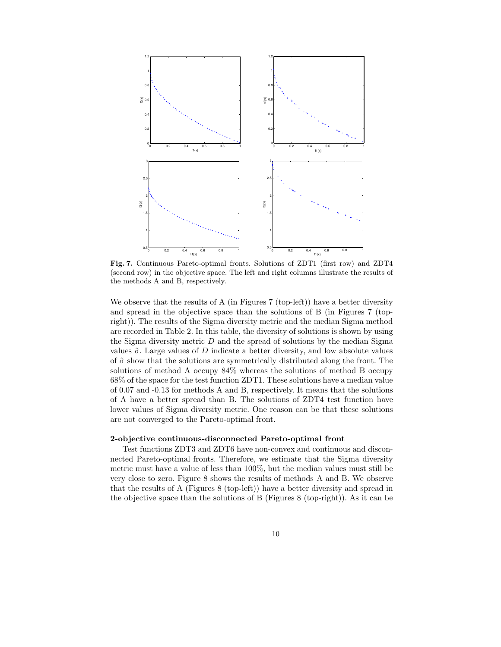

Fig. 7. Continuous Pareto-optimal fronts. Solutions of ZDT1 (first row) and ZDT4 (second row) in the objective space. The left and right columns illustrate the results of the methods A and B, respectively.

We observe that the results of A (in Figures  $7$  (top-left)) have a better diversity and spread in the objective space than the solutions of B (in Figures 7 (topright)). The results of the Sigma diversity metric and the median Sigma method are recorded in Table 2. In this table, the diversity of solutions is shown by using the Sigma diversity metric  $D$  and the spread of solutions by the median Sigma values  $\tilde{\sigma}$ . Large values of D indicate a better diversity, and low absolute values of  $\tilde{\sigma}$  show that the solutions are symmetrically distributed along the front. The solutions of method A occupy 84% whereas the solutions of method B occupy 68% of the space for the test function ZDT1. These solutions have a median value of 0.07 and -0.13 for methods A and B, respectively. It means that the solutions of A have a better spread than B. The solutions of ZDT4 test function have lower values of Sigma diversity metric. One reason can be that these solutions are not converged to the Pareto-optimal front.

## 2-objective continuous-disconnected Pareto-optimal front

Test functions ZDT3 and ZDT6 have non-convex and continuous and disconnected Pareto-optimal fronts. Therefore, we estimate that the Sigma diversity metric must have a value of less than 100%, but the median values must still be very close to zero. Figure 8 shows the results of methods A and B. We observe that the results of A (Figures 8 (top-left)) have a better diversity and spread in the objective space than the solutions of B (Figures 8 (top-right)). As it can be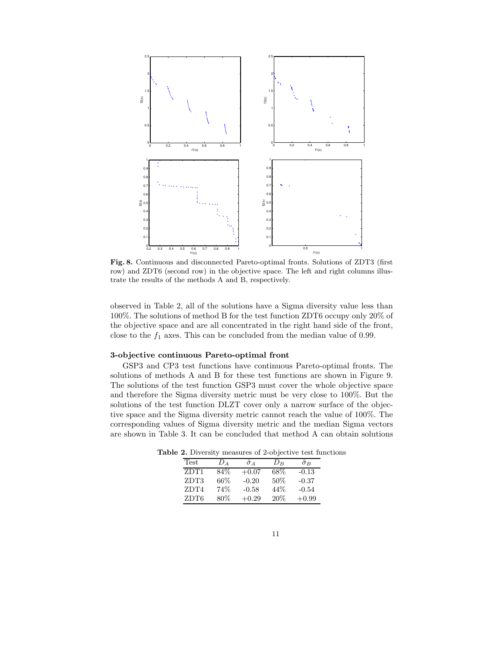

Fig. 8. Continuous and disconnected Pareto-optimal fronts. Solutions of ZDT3 (first row) and ZDT6 (second row) in the objective space. The left and right columns illustrate the results of the methods A and B, respectively.

observed in Table 2, all of the solutions have a Sigma diversity value less than 100%. The solutions of method B for the test function ZDT6 occupy only 20% of the objective space and are all concentrated in the right hand side of the front, close to the  $f_1$  axes. This can be concluded from the median value of 0.99.

### 3-objective continuous Pareto-optimal front

GSP3 and CP3 test functions have continuous Pareto-optimal fronts. The solutions of methods A and B for these test functions are shown in Figure 9. The solutions of the test function GSP3 must cover the whole objective space and therefore the Sigma diversity metric must be very close to 100%. But the solutions of the test function DLZT cover only a narrow surface of the objective space and the Sigma diversity metric cannot reach the value of 100%. The corresponding values of Sigma diversity metric and the median Sigma vectors are shown in Table 3. It can be concluded that method A can obtain solutions

Table 2. Diversity measures of 2-objective test functions

| Test | Dа   | $\sigma_A$ | $D_{B}$ | $\tilde{\sigma}_B$ |
|------|------|------------|---------|--------------------|
| ZDT1 | 84\% | $+0.07$    | 68%     | $-0.13$            |
| ZDT3 | 66%  | $-0.20$    | 50%     | $-0.37$            |
| ZDT4 | 74%  | $-0.58$    | 44\%    | $-0.54$            |
| ZDT6 | 80%  | $+0.29$    | 20\%    | $+0.99$            |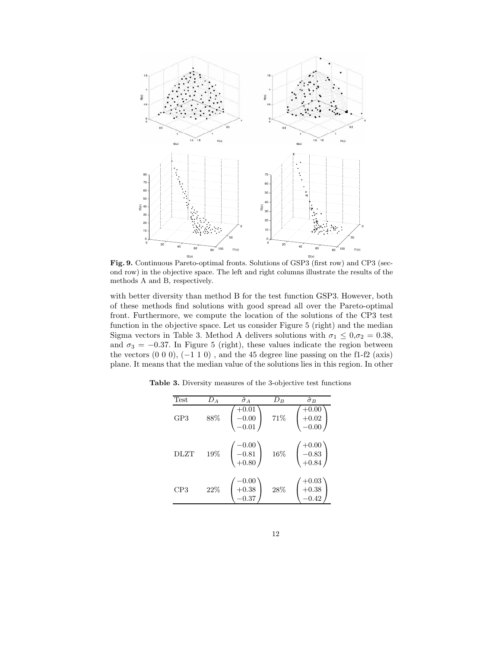

Fig. 9. Continuous Pareto-optimal fronts. Solutions of GSP3 (first row) and CP3 (second row) in the objective space. The left and right columns illustrate the results of the methods A and B, respectively.

with better diversity than method B for the test function GSP3. However, both of these methods find solutions with good spread all over the Pareto-optimal front. Furthermore, we compute the location of the solutions of the CP3 test function in the objective space. Let us consider Figure 5 (right) and the median Sigma vectors in Table 3. Method A delivers solutions with  $\sigma_1 \leq 0, \sigma_2 = 0.38$ , and  $\sigma_3 = -0.37$ . In Figure 5 (right), these values indicate the region between the vectors  $(0\ 0\ 0)$ ,  $(-1\ 1\ 0)$ , and the 45 degree line passing on the f1-f2 (axis) plane. It means that the median value of the solutions lies in this region. In other

| <b>Test</b> | $D_A$ | $\tilde{\sigma}_A$                   | $D_B$ | $\tilde{\sigma}_B$            |
|-------------|-------|--------------------------------------|-------|-------------------------------|
| GP3         | 88%   | $+0.01\,$<br>$-0.00$<br>$-0.01$      | 71%   | -0.00<br>$+0.02$<br>$-0.00$   |
| DLZT        | 19%   | $-0.00$<br>$-0.81$<br>$+0.80$        | 16%   | $+0.00$<br>$-0.83$            |
| CP3         | 22%   | $-0.00$<br>$+0.38$<br>$^{\rm -0.37}$ | 28%   | $+0.03$<br>$+0.38$<br>$-0.42$ |

Table 3. Diversity measures of the 3-objective test functions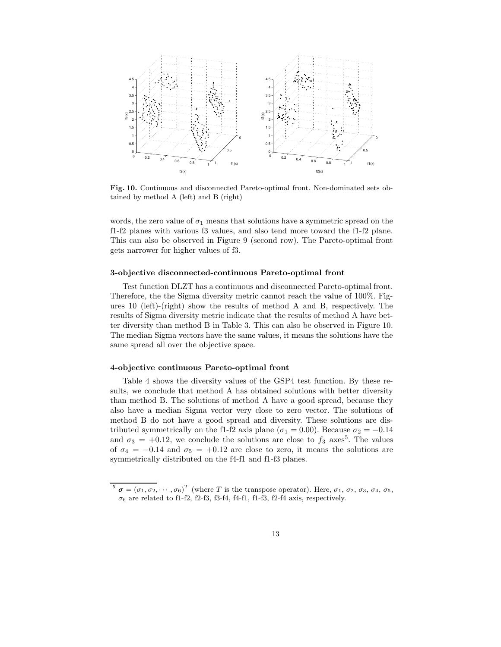

Fig. 10. Continuous and disconnected Pareto-optimal front. Non-dominated sets obtained by method A (left) and B (right)

words, the zero value of  $\sigma_1$  means that solutions have a symmetric spread on the f1-f2 planes with various f3 values, and also tend more toward the f1-f2 plane. This can also be observed in Figure 9 (second row). The Pareto-optimal front gets narrower for higher values of f3.

#### 3-objective disconnected-continuous Pareto-optimal front

Test function DLZT has a continuous and disconnected Pareto-optimal front. Therefore, the the Sigma diversity metric cannot reach the value of 100%. Figures 10 (left)-(right) show the results of method A and B, respectively. The results of Sigma diversity metric indicate that the results of method A have better diversity than method B in Table 3. This can also be observed in Figure 10. The median Sigma vectors have the same values, it means the solutions have the same spread all over the objective space.

## 4-objective continuous Pareto-optimal front

Table 4 shows the diversity values of the GSP4 test function. By these results, we conclude that method A has obtained solutions with better diversity than method B. The solutions of method A have a good spread, because they also have a median Sigma vector very close to zero vector. The solutions of method B do not have a good spread and diversity. These solutions are distributed symmetrically on the f1-f2 axis plane ( $\sigma_1 = 0.00$ ). Because  $\sigma_2 = -0.14$ and  $\sigma_3 = +0.12$ , we conclude the solutions are close to  $f_3$  axes<sup>5</sup>. The values of  $\sigma_4 = -0.14$  and  $\sigma_5 = +0.12$  are close to zero, it means the solutions are symmetrically distributed on the f4-f1 and f1-f3 planes.

<sup>&</sup>lt;sup>5</sup>  $\sigma = (\sigma_1, \sigma_2, \cdots, \sigma_6)^T$  (where T is the transpose operator). Here,  $\sigma_1$ ,  $\sigma_2$ ,  $\sigma_3$ ,  $\sigma_4$ ,  $\sigma_5$ ,  $\sigma_6$  are related to f1-f2, f2-f3, f3-f4, f4-f1, f1-f3, f2-f4 axis, respectively.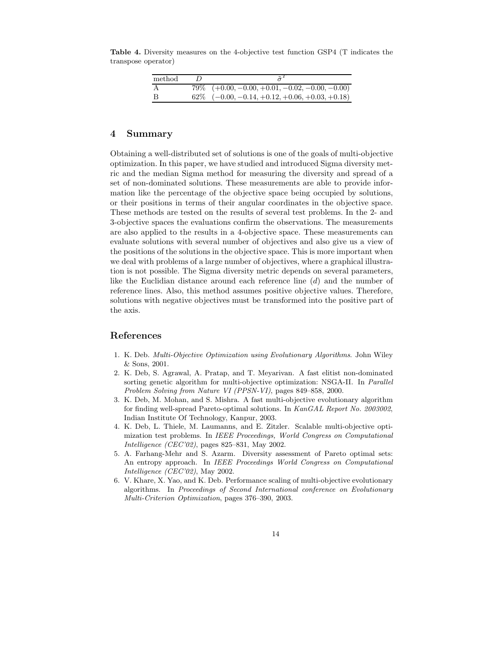Table 4. Diversity measures on the 4-objective test function GSP4 (T indicates the transpose operator)

| method | $\tilde{\pi}$                                       |
|--------|-----------------------------------------------------|
|        | $79\%$ $(+0.00, -0.00, +0.01, -0.02, -0.00, -0.00)$ |
|        | $62\%$ $(-0.00, -0.14, +0.12, +0.06, +0.03, +0.18)$ |

## 4 Summary

Obtaining a well-distributed set of solutions is one of the goals of multi-objective optimization. In this paper, we have studied and introduced Sigma diversity metric and the median Sigma method for measuring the diversity and spread of a set of non-dominated solutions. These measurements are able to provide information like the percentage of the objective space being occupied by solutions, or their positions in terms of their angular coordinates in the objective space. These methods are tested on the results of several test problems. In the 2- and 3-objective spaces the evaluations confirm the observations. The measurements are also applied to the results in a 4-objective space. These measurements can evaluate solutions with several number of objectives and also give us a view of the positions of the solutions in the objective space. This is more important when we deal with problems of a large number of objectives, where a graphical illustration is not possible. The Sigma diversity metric depends on several parameters, like the Euclidian distance around each reference line (d) and the number of reference lines. Also, this method assumes positive objective values. Therefore, solutions with negative objectives must be transformed into the positive part of the axis.

# References

- 1. K. Deb. Multi-Objective Optimization using Evolutionary Algorithms. John Wiley & Sons, 2001.
- 2. K. Deb, S. Agrawal, A. Pratap, and T. Meyarivan. A fast elitist non-dominated sorting genetic algorithm for multi-objective optimization: NSGA-II. In *Parallel* Problem Solving from Nature VI (PPSN-VI), pages 849–858, 2000.
- 3. K. Deb, M. Mohan, and S. Mishra. A fast multi-objective evolutionary algorithm for finding well-spread Pareto-optimal solutions. In KanGAL Report No. 2003002, Indian Institute Of Technology, Kanpur, 2003.
- 4. K. Deb, L. Thiele, M. Laumanns, and E. Zitzler. Scalable multi-objective optimization test problems. In IEEE Proceedings, World Congress on Computational Intelligence (CEC'02), pages 825–831, May 2002.
- 5. A. Farhang-Mehr and S. Azarm. Diversity assessment of Pareto optimal sets: An entropy approach. In IEEE Proceedings World Congress on Computational Intelligence (CEC'02), May 2002.
- 6. V. Khare, X. Yao, and K. Deb. Performance scaling of multi-objective evolutionary algorithms. In Proceedings of Second International conference on Evolutionary Multi-Criterion Optimization, pages 376–390, 2003.